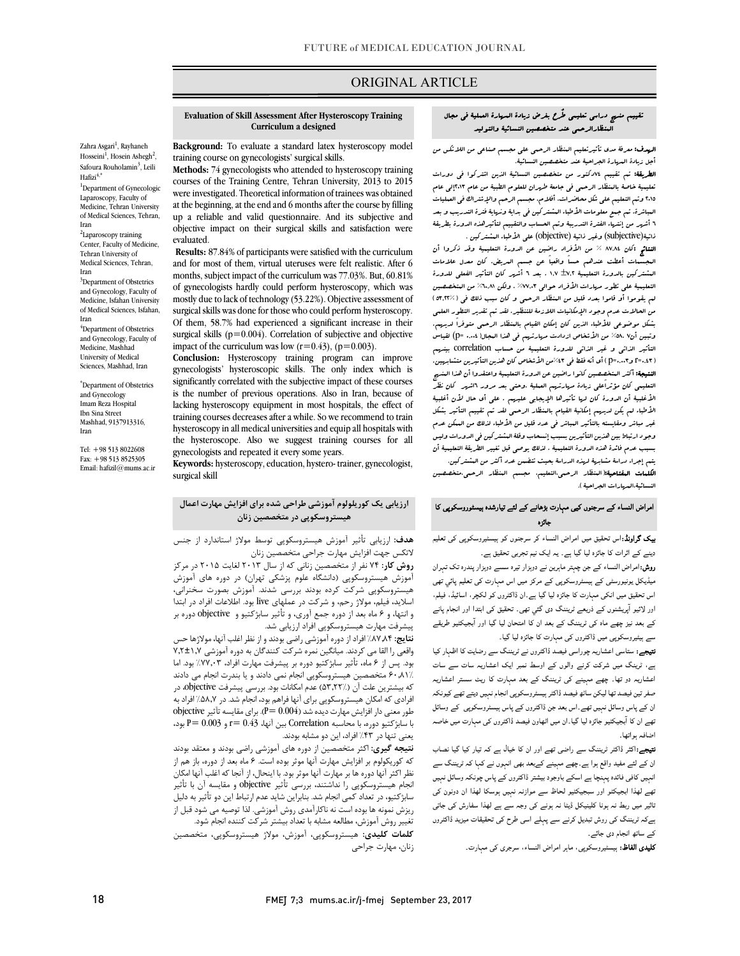# ORIGINAL ARTICLE

#### تقییم منهج دراسی تعلیمی طٌرح بغرض زیادة المهارة العملیۀ فی مجال المنظارالرحمی عند متخصصین النسائیۀ والتولید

ص

**الرسف:** معرفۂ مدى تأثیرتعلیم المنظار الرحمی على مجسم صناعی من اللاتکس من<br>. أجل زیادة المهارة الجراحیۀ عند متخصصین النسائیۀ.

 الطریقۀ: تم تقییم 74دکتور من متخصصین النسائیۀ الذین اشترکوا فی دورات تعلیمیۀ خاصۀ بالمنظار الرحمی فی جامعۀ طهران للعلوم الطبیۀ من عام 2013إلى عام 2015 وتم التعلیم على شکل محاضرات، أفلام، مجسم الرحم والإشتراك فی العملیات 6 أشهر من إنتهاء الفترة التدریبۀ وتم الحساب والتقییم لتأثیرهذه الدورة بطریقۀ ذاتیۀ(subjective (وغیر ذاتیۀ (objective (على الأطباء المشترکین . المباشرة. تم جمع معلومات الأطباء المشترکین فی بدایۀ ونهایۀ فترة التدریب و بعد

 النتائج :کان 87,84 % من الأفراد راضین عن الدورة التعلیمیۀ وقد ذکروا أن المشترکین بالدورة التعلیمیۀ 7,2 1,7 . بعد 6 أشهر کان التأثیر الفعلی للدورة التعلیمیۀ على تطور مهارات الأفراد حوالی %77,03 . ولکن %60,81 من المتخصصین لم یقوموا أو قاموا بعدد قلیل من المنظار الرحمی و کان سبب ذلک فی (53,22%) بن بشکل موضوعی للأطباء الذین کان إمکان القیام بالمنظار الرحمی متوفراً لدیهم.<br>بشکل موضوعی للأطباء الذین کان إمکان القیام بالمنظار الرحمی متوفراً لدیهم. وتبین أن۸. ۷۵٪ من الأشخاص ازدادت مهارتهم فی هذا البجال(ش... =p) لقیاس التأثیر الذاتی و غیر الذاتی للدورة التعلیمیۀ من حساب correlation بینهم النتیجۀ: او ۱٬۰۰۰-۱۰ الله عن عن المتخص المتخصصی من عن عنوان المتخصصی عن المستهزین.<br>ا**لنتیجۀ:** أکثر المتخصصین کانوا راضین عن الدورة التعلیمیۀ واعتقدوا أن هذا المن*ه*ج التعلیمی کان مؤثراًعلى زیادة مهارتهم العملیۀ .وحتى بعد مرور 6اشهر کان نظر الأغلبیۀ أن الدورة کان لها تأثیرها الإیجابی علیهم . على أي حال لأن أغلبیۀ الأطباء لم یکن لدیهم إمکانیۀ القیام بالمنظار الرحمی لقد تم تقییم التأثیر بشکل وجود ارتباط بین هذین التأثیرین بسبب إنسحاب وقلۀ المشترکین فی الدورات ولیس بسبب عدم فائدة هذه الدورة التعلیمیۀ ، لذلک یوصى قبل تغییر الطریقۀ التعلیمیۀ أن یتم إجراء دراسۀ مشابهۀ لهذه الدراسۀ بحیث تتضمن عدد أکثر من المشترکین. المجسمات أعطت عندهم حساً واقعیاً عن جسم المریض. کان معدل علامات من الحالات عدم وجود الإمکانیات اللازمۀ للتنظیر. لقد تم تقدیر التطور العلمی (0,43=r و0,003=p (أي أنه فقط فی %43من الأشخاص کان هذین التأثیرین متشابهین. غیر مباشر ومقایسته بالتأثیر المباشر فی عدد قلیل من الأطباء لذلک من الممکن عدم

.<br>النسائیۀ،الد<sub>م</sub>ارات الجراحیۀ ). الکلمات المفتاحیۀ:(المنظار الرحمی،التعلیم، مجسم المنظار الرحمی،متخصصین

#### امراض النساء کے سرجنوں کیی مہارت بڑھانے کے لئے تیارشدہ پیسٹوروسکوپی کا<br>۔ جائزہ

.<br>**بیک گراونڈ:**اس تحقیق میں امراض النساء کر سرجنوں کو ہیسٹیروسکوپی کی تعلیم .. میں اس میں اس میں اس میں ہے ۔ اس میں اس میں اس میں اس میں اس میں اس میں اس میں اس میں اس میں اس میں اس میں<br>دینے کے اثرات کا جائزہ لیا گیا ہے۔ یہ ایک نیم تجربی تحقیق ہے۔

**روش:**امراض النساء کے جن چہتر ماہرین نے دوہزار تیرہ سسے دوہزار پندرہ تک تہران میڈیکل یونیورسٹی کے ہیسٹروسکوپی کے مرکز میں اس مہارت کی تعلیم پائي تھی اس تحقیق میں انکی مہارت کا جائزہ لیا گیا ہے۔ان ڈاکٹروں کو لکچر، اسائیڈ، فیلم، اور لائیو آپریشنوں کے ذریعے ٹریننگ دی گئي تھی۔ تحقیق کی ابتدا اور انجام پانے ہ ان ان اور آ سے ہیٹیروسکوپی میں ڈاکٹروں کی مہارت کا جائزہ لیا گیا۔

ے ، سی سی سی سی سی ہے ۔<br>**لتیجے:** ستاسی اعشاریہ چوراسی فیصد ڈاکٹروں نے ٹریننگ سے رضایت کا اظہار کیا ۔ ہے، ٹرینگ میں شرکت کرنے والوں کے اوسط نمبر ایک اعشاریہ سات سے سات اعشاریہ دو تھا۔ چھے مہینے کی ٹریننگ کے بعد مہارت کا ریٹ سستر اعشاریہ صفر تین فیصد تھا لیکن ساٹھ فیصد ڈاکٹر ہیسٹروسکوپی انجام نہیں دیتے تھے کیونکہ ان کے پاس وسائل نہیں تھے۔اس بعد جن ڈاکٹروں کے پاس ہیسٹروسکوپی کے وسائل تھے ان کا آبجیکٹیو جائزہ لیا گیا۔ان میں اٹھاون فیصد ڈاکٹروں کی مہارت میں خاصہ<br>۔ اضافہ ہواتھا۔

۔<br>ل**تیجے:**اکثر ڈاکٹر ٹریننگ سے راضی تھے اور ان کا خیال ہے کہ تیار کیا گیا نصاب ان کے لئے مفید واقع ہوا ہے۔چھے مہینے کےبعد بھی انہوں نے کہا کہ ٹریننگ سے انہیں کافی فائدہ پہنچا ہے اسکے باوجود بیشتر ڈاکٹروں کے پاس چونکہ وسائل نہیں تھے لھذا ابجیکٹو اور سبجیکٹیو لحاظ سے موازنہ نہیں ہوسکا لھذا ان دونون کی تاثیر میں ربط نہ ہونا کلینیکل ڈیٹا نہ ہونے کی وجہ سے ہے لھذا سفارش کی جاتی ہےکہ ٹریننگ کی روش تبدیل کرنے سے پہلے اسی طرح کی تحقیقات میزید ڈاکٹروں<br>۔ کے ساتھ انجام دی جائے۔

ے<br>**کلیدی الفاظ:** ہیسٹیروسکوپی، ماہر امراض النساء، سرجری کی مہارت۔

#### **Curriculum a designed Evaluation of Skill Assessment After Hysteroscopy Training**

Ī

 **Background:** To evaluate a standard latex hysteroscopy model training course on gynecologists' surgical skills.

 **Methods:** 74 gynecologists who attended to hysteroscopy training were investigated. Theoretical information of trainees was obtained at the beginning, at the end and 6 months after the course by filling up a reliable and valid questionnaire. And its subjective and objective impact on their surgical skills and satisfaction were courses of the Training Centre, Tehran University, 2013 to 2015 evaluated.

 **Results:** 87.84% of participants were satisfied with the curriculum and for most of them, virtual uteruses were felt realistic. After 6 of gynecologists hardly could perform hysteroscopy, which was mostly due to lack of technology (53.22%). Objective assessment of Of them, 58.7% had experienced a significant increase in their surgical skills  $(p=0.004)$ . Correlation of subjective and objective impact of the curriculum was low  $(r=0.43)$ ,  $(p=0.003)$ . months, subject impact of the curriculum was 77.03%. But, 60.81% surgical skills was done for those who could perform hysteroscopy.

 gynecologists' hysteroscopic skills. The only index which is significantly correlated with the subjective impact of these courses lacking hysteroscopy equipment in most hospitals, the effect of training courses decreases after a while. So we recommend to train hysteroscopy in all medical universities and equip all hospitals with gynecologists and repeated it every some years. **Conclusion:** Hysteroscopy training program can improve is the number of previous operations. Also in Iran, because of the hysteroscope. Also we suggest training courses for all

 **Keywords:** hysteroscopy, education, hystero- trainer, gynecologist, surgical skill

# **ارزیابی یک کوریلولوم آموزشی طراحی شده براي افزایش مهارت اعمال هیستروسکوپی در متخصصین زنان**

سمات. آزریبی تائیز آموزش میستروستوپی توست<br>لاتکس جهت افزایش مهارت جراحی متخصصین زنان **روش کار:** 74 نفر از متخصصین زنانی که از سال 2013 لغایت 2015 در مرکز **هدف:** ارزیابی تأثیر آموزش هیستروسکوپی توسط مولاژ استاندارد از جنس

 آموزش هیستروسکوپی (دانشگاه علوم پزشکی تهران) در دوره هاي آموزش هیستروستوپی سر ت ترده بودند بررسی سنند. امورس بفتورت سخنزانی،<br>اسلاید، فیلم، مولاژ رحم، و شرکت در عملهای live بود. اطلاعات افراد در ابتدا و انتها، و 6 ماه بعد از دوره جمع آوري، و تأثیر سابژکتیو و objective دوره بر پیشرفت مهارت هیستروسکوپی افراد ارزیابی شد. هیستروسکوپی شرکت کرده بودند بررسی شدند. آموزش بصورت سخنرانی،

ت این البر این القا می کردند. میانگین نمره است و است که در است که در است کنند کنند کنند<br>واقعی را القا می کردند. میانگین نمره شرکت کنندگان به دوره آموزشی ۷,۲±۱,۷ بود. پس از 6 ماه، تأثیر سابژکتیو دوره بر پیشرفت مهارت افراد، %77,03 بود. اما 60,81% متخصصین هیستروسکوپی انجام نمی دادند و یا بندرت انجام می دادند ت بیسترین کنت ان (۱٬۰۰۰٬۰۰۰ کم استعدت بود، بزرسی پیسرتت منتصورها، در<br>افرادی که امکان هیستروسکوپی برای آنها فراهم بود، انجام شد. در ۵۸٫۷٪ افراد به طور معنی دار افزایش مهارت دیده شد (0.004 =P(. براي مقایسه تآثیر objective با سابژکتیو دوره، با محاسبه Correlation بین آنها، 0.43 =r و 0.003 =P بود، **نتایج:** %87,84 افراد از دوره آموزشی راضی بودند و از نظر اغلب آنها، مولاژها حس که بیشترین علت آن (53,22%) عدم امکانات بود. بررسی پیشرفت objective، در یعنی تنها در %43 افراد، این دو مشابه بودند.

يسى عبد <sub>كر</sub> مسيرستين كو مسبب بودند.<br>**نتيجه گيري:** اكثر متخصصين از دوره هاى آموزشى راضى بودند و معتقد بودند که کوریکولوم بر افزایش مهارت آنها موثر بوده است. 6 ماه بعد از دوره، باز هم از نظر اکثر آنها دوره ها بر مهارت آنها موثر بود. با اینحال، از آنجا که اغلب آنها امکان میه از میتسروستوپی (۲۰۰۰-ستند. بزرسی میرز مستقوم در منطق شد.<br>سابژکتیو، در تعداد کمی انجام شد. بنابراین شاید عدم ارتباط این دو تأثیر به دلیل ریزش نمونه ها بوده است نه ناکارآمدي روش آموزشی. لذا توصیه می شود قبل از تغییر روش آموزش، مطالعه مشابه با تعداد بیشتر شرکت کننده انجام شود. انجام هیستروسکوپی را نداشتند، بررسی تأثیر objective و مقایسه آن با تأثیر

 **کلمات کلیدي:** هیستروسکوپی، آموزش، مولاژ هیستروسکوپی، متخصصین زنان، مهارت جراحی

Zahra Asgari<sup>1</sup>, Rayhaneh Hosseini<sup>1</sup>, Hosein Ashegh<sup>2</sup>, Safoura Rouholamin<sup>3</sup>, Leili

1 Department of Gynecologic Laparoscopy, Faculty of Medicine, Tehran University of Medical Sciences, Tehran,

2 Laparoscopy training Center, Faculty of Medicine, Tehran University of Medical Sciences, Tehran,

<sup>3</sup>Department of Obstetrics and Gynecology, Faculty of Medicine, Isfahan University of Medical Sciences, Isfahan,

4 Department of Obstetrics and Gynecology, Faculty of Medicine, Mashhad University of Medical Sciences, Mashhad, Iran \* Department of Obstetrics and Gynecology Imam Reza Hospital Ibn Sina Street Mashhad, 9137913316,

Hafizi $4,$ \*

Iran

Iran

Iran

Iran

Tel: +98 513 8022608 Fax: +98 513 8525305 Email: hafizil@mums.ac.ir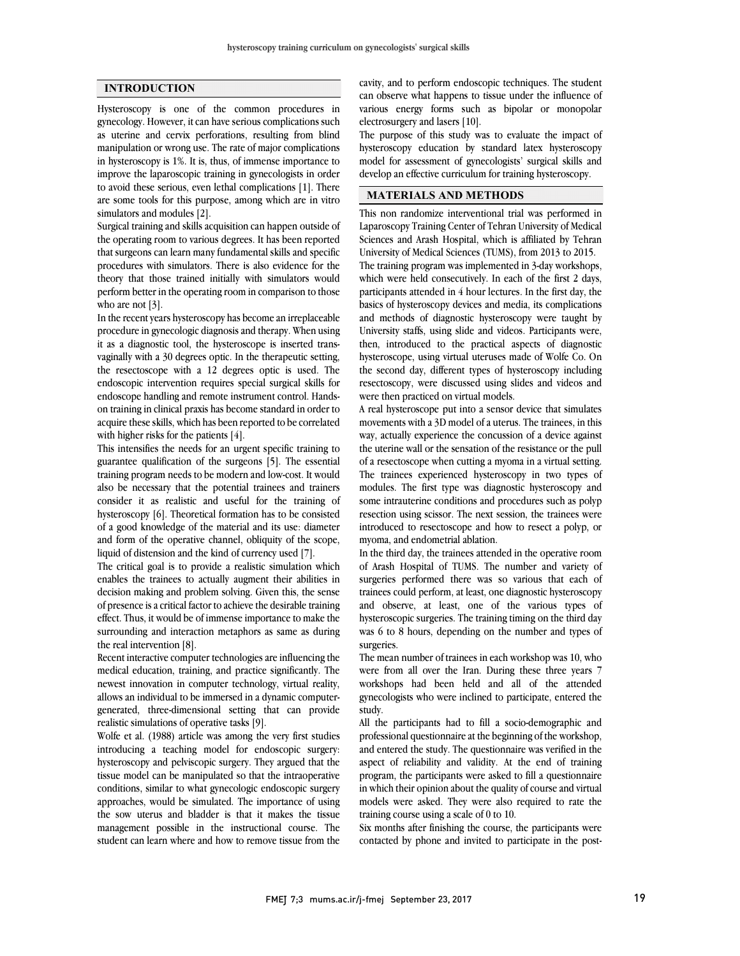## **INTRODUCTION**

Hysteroscopy is one of the common procedures in gynecology. However, it can have serious complications such as uterine and cervix perforations, resulting from blind manipulation or wrong use. The rate of major complications in hysteroscopy is 1%. It is, thus, of immense importance to improve the laparoscopic training in gynecologists in order to avoid these serious, even lethal complications [1]. There are some tools for this purpose, among which are in vitro simulators and modules [2].

Surgical training and skills acquisition can happen outside of the operating room to various degrees. It has been reported that surgeons can learn many fundamental skills and specific procedures with simulators. There is also evidence for the theory that those trained initially with simulators would perform better in the operating room in comparison to those who are not [3].

In the recent years hysteroscopy has become an irreplaceable procedure in gynecologic diagnosis and therapy. When using it as a diagnostic tool, the hysteroscope is inserted transvaginally with a 30 degrees optic. In the therapeutic setting, the resectoscope with a 12 degrees optic is used. The endoscopic intervention requires special surgical skills for endoscope handling and remote instrument control. Handson training in clinical praxis has become standard in order to acquire these skills, which has been reported to be correlated with higher risks for the patients [4].

This intensifies the needs for an urgent specific training to guarantee qualification of the surgeons [5]. The essential training program needs to be modern and low-cost. It would also be necessary that the potential trainees and trainers consider it as realistic and useful for the training of hysteroscopy [6]. Theoretical formation has to be consisted of a good knowledge of the material and its use: diameter and form of the operative channel, obliquity of the scope, liquid of distension and the kind of currency used [7].

The critical goal is to provide a realistic simulation which enables the trainees to actually augment their abilities in decision making and problem solving. Given this, the sense of presence is a critical factor to achieve the desirable training effect. Thus, it would be of immense importance to make the surrounding and interaction metaphors as same as during the real intervention [8].

Recent interactive computer technologies are influencing the medical education, training, and practice significantly. The newest innovation in computer technology, virtual reality, allows an individual to be immersed in a dynamic computergenerated, three-dimensional setting that can provide realistic simulations of operative tasks [9].

Wolfe et al. (1988) article was among the very first studies introducing a teaching model for endoscopic surgery: hysteroscopy and pelviscopic surgery. They argued that the tissue model can be manipulated so that the intraoperative conditions, similar to what gynecologic endoscopic surgery approaches, would be simulated. The importance of using the sow uterus and bladder is that it makes the tissue management possible in the instructional course. The student can learn where and how to remove tissue from the

cavity, and to perform endoscopic deminques. The statement can observe what happens to tissue under the influence of various energy forms such as bipolar or monopolar electrosurgery and lasers [10]. cavity, and to perform endoscopic techniques. The student

 The purpose of this study was to evaluate the impact of model for assessment of gynecologists' surgical skills and develop an effective curriculum for training hysteroscopy. hysteroscopy education by standard latex hysteroscopy

## $\overline{a}$ **MATERIALS AND METHODS**

 This non randomize interventional trial was performed in Sciences and Arash Hospital, which is affiliated by Tehran University of Medical Sciences (TUMS), from 2013 to 2015. The training program was implemented in 3-day workshops, which were held consecutively. In each of the first 2 days, basics of hysteroscopy devices and media, its complications and methods of diagnostic hysteroscopy were taught by University staffs, using slide and videos. Participants were, hysteroscope, using virtual uteruses made of Wolfe Co. On the second day, different types of hysteroscopy including resectoscopy, were discussed using slides and videos and were then practiced on virtual models. Laparoscopy Training Center of Tehran University of Medical participants attended in 4 hour lectures. In the first day, the then, introduced to the practical aspects of diagnostic

movements with a 3D model of a uterus. The trainees, in this way, actually experience the concussion of a device against the uterine wall or the sensation of the resistance or the pull of a resectoscope when cutting a myoma in a virtual setting. modules. The first type was diagnostic hysteroscopy and some intrauterine conditions and procedures such as polyp resection using scissor. The next session, the trainees were introduced to resectoscope and how to resect a polyp, or A real hysteroscope put into a sensor device that simulates The trainees experienced hysteroscopy in two types of myoma, and endometrial ablation.

In the third day, the trainees attended in the operative room of Arash Hospital of TUMS. The number and variety of surgeries performed there was so various that each of trainees could perform, at least, one diagnostic hysteroscopy hysteroscopic surgeries. The training timing on the third day was 6 to 8 hours, depending on the number and types of surgeries. and observe, at least, one of the various types of

 The mean number of trainees in each workshop was 10, who workshops had been held and all of the attended gynecologists who were inclined to participate, entered the study. were from all over the Iran. During these three years 7

 All the participants had to fill a socio-demographic and and entered the study. The questionnaire was verified in the aspect of reliability and validity. At the end of training program, the participants were asked to fill a questionnaire in which their opinion about the quality of course and virtual training course using a scale of 0 to 10. professional questionnaire at the beginning of the workshop, models were asked. They were also required to rate the

 Six months after finishing the course, the participants were contacted by phone and invited to participate in the post-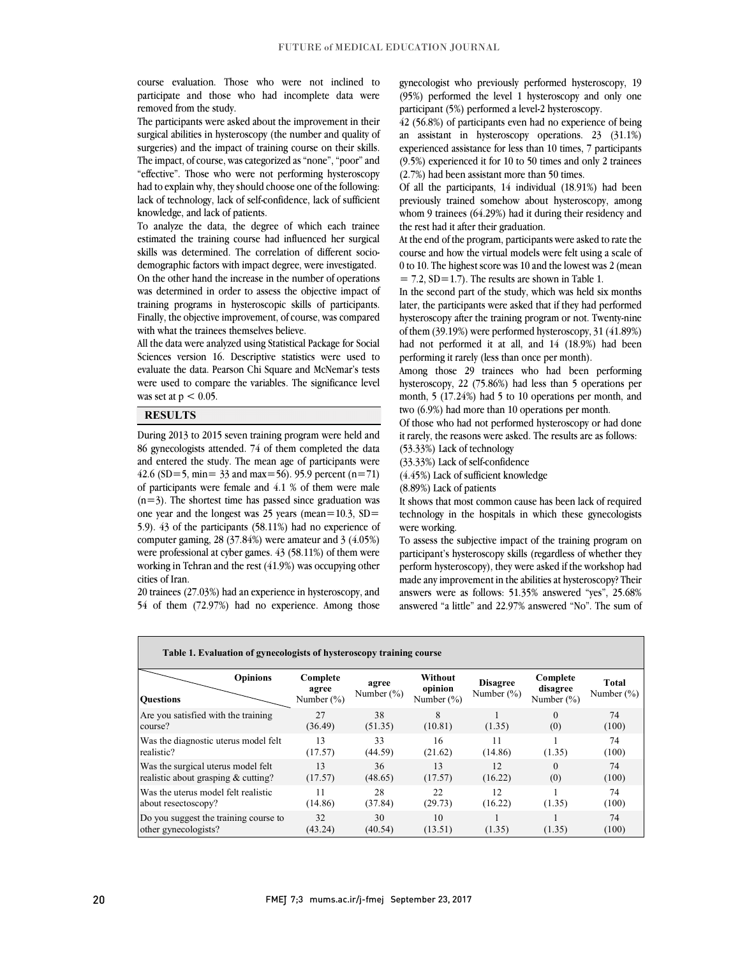participate and those who had incomplete data were course evaluation. Those who were not inclined to removed from the study.

 The participants were asked about the improvement in their surgical abilities in hysteroscopy (the number and quality of The impact, of course, was categorized as "none", "poor" and "effective". Those who were not performing hysteroscopy had to explain why, they should choose one of the following: lack of technology, lack of self-confidence, lack of sufficient surgeries) and the impact of training course on their skills. knowledge, and lack of patients.

 To analyze the data, the degree of which each trainee estimated the training course had influenced her surgical skills was determined. The correlation of different socio- demographic factors with impact degree, were investigated. On the other hand the increase in the number of operations training programs in hysteroscopic skills of participants. Finally, the objective improvement, of course, was compared was determined in order to assess the objective impact of with what the trainees themselves believe.

 Sciences version 16. Descriptive statistics were used to evaluate the data. Pearson Chi Square and McNemar's tests were used to compare the variables. The significance level All the data were analyzed using Statistical Package for Social was set at  $p < 0.05$ .

#### **RESULTS**

 During 2013 to 2015 seven training program were held and 86 gynecologists attended. 74 of them completed the data and entered the study. The mean age of participants were of participants were female and  $4.1$  % of them were male  $(n=3)$ . The shortest time has passed since graduation was one year and the longest was 25 years (mean= $10.3$ , SD= 5.9). 43 of the participants (58.11%) had no experience of were professional at cyber games.  $43$  (58.11%) of them were working in Tehran and the rest (41.9%) was occupying other 42.6 (SD=5, min=  $33$  and max=56). 95.9 percent (n=71) computer gaming, 28 (37.84%) were amateur and 3 (4.05%) cities of Iran.

 20 trainees (27.03%) had an experience in hysteroscopy, and 54 of them (72.97%) had no experience. Among those

 gynecologist who previously performed hysteroscopy, 19 participant (5%) performed a level-2 hysteroscopy. (95%) performed the level 1 hysteroscopy and only one

 42 (56.8%) of participants even had no experience of being an assistant in hysteroscopy operations. 23 (31.1%) experienced assistance for less than 10 times, 7 participants Í (9.5%) experienced it for 10 to 50 times and only 2 trainees (2.7%) had been assistant more than 50 times.

 Of all the participants, 14 individual (18.91%) had been previously trained somehow about hysteroscopy, among whom 9 trainees (64.29%) had it during their residency and the rest had it after their graduation.

At the end of the program, participants were asked to rate the course and how the virtual models were felt using a scale of 0 to 10. The highest score was 10 and the lowest was 2 (mean  $= 7.2, SD = 1.7$ . The results are shown in Table 1.

later, the participants were asked that if they had performed hysteroscopy after the training program or not. Twenty-nine of them (39.19%) were performed hysteroscopy, 31 (41.89%) had not performed it at all, and 14 (18.9%) had been In the second part of the study, which was held six months performing it rarely (less than once per month).

Among those 29 trainees who had been performing hysteroscopy, 22 (75.86%) had less than 5 operations per month, 5 (17.24%) had 5 to 10 operations per month, and two (6.9%) had more than 10 operations per month.

 it rarely, the reasons were asked. The results are as follows: Of those who had not performed hysteroscopy or had done (53.33%) Lack of technology

(33.33%) Lack of self-confidence

(4.45%) Lack of sufficient knowledge

(8.89%) Lack of patients

 It shows that most common cause has been lack of required technology in the hospitals in which these gynecologists were working.

 participant's hysteroscopy skills (regardless of whether they perform hysteroscopy), they were asked if the workshop had made any improvement in the abilities at hysteroscopy? Their answers were as follows: 51.35% answered "yes", 25.68% answered "a little" and 22.97% answered "No". The sum of To assess the subjective impact of the training program on

| <b>Opinions</b><br><b>Ouestions</b>                           | Complete<br>agree<br>Number (%) | agree<br>Number $(\%)$ | Without<br>opinion<br>Number $(\%)$ | <b>Disagree</b><br>Number $(\%)$ | Complete<br>disagree<br>Number $(\% )$ | Total<br>Number $(\%)$ |
|---------------------------------------------------------------|---------------------------------|------------------------|-------------------------------------|----------------------------------|----------------------------------------|------------------------|
| Are you satisfied with the training                           | 27                              | 38                     | 8                                   | (1.35)                           | $\Omega$                               | 74                     |
| course?                                                       | (36.49)                         | (51.35)                | (10.81)                             |                                  | (0)                                    | (100)                  |
| Was the diagnostic uterus model felt                          | 13                              | 33                     | 16                                  | 11                               | (1.35)                                 | 74                     |
| realistic?                                                    | (17.57)                         | (44.59)                | (21.62)                             | (14.86)                          |                                        | (100)                  |
| Was the surgical uterus model felt                            | 13                              | 36                     | 13                                  | 12                               | $\Omega$                               | 74                     |
| realistic about grasping & cutting?                           | (17.57)                         | (48.65)                | (17.57)                             | (16.22)                          | (0)                                    | (100)                  |
| Was the uterus model felt realistic                           | 11                              | 28                     | 22.                                 | 12                               | (1.35)                                 | 74                     |
| about resectoscopy?                                           | (14.86)                         | (37.84)                | (29.73)                             | (16.22)                          |                                        | (100)                  |
| Do you suggest the training course to<br>other gynecologists? | 32<br>(43.24)                   | 30<br>(40.54)          | 10<br>(13.51)                       | (1.35)                           | (1.35)                                 | 74<br>(100)            |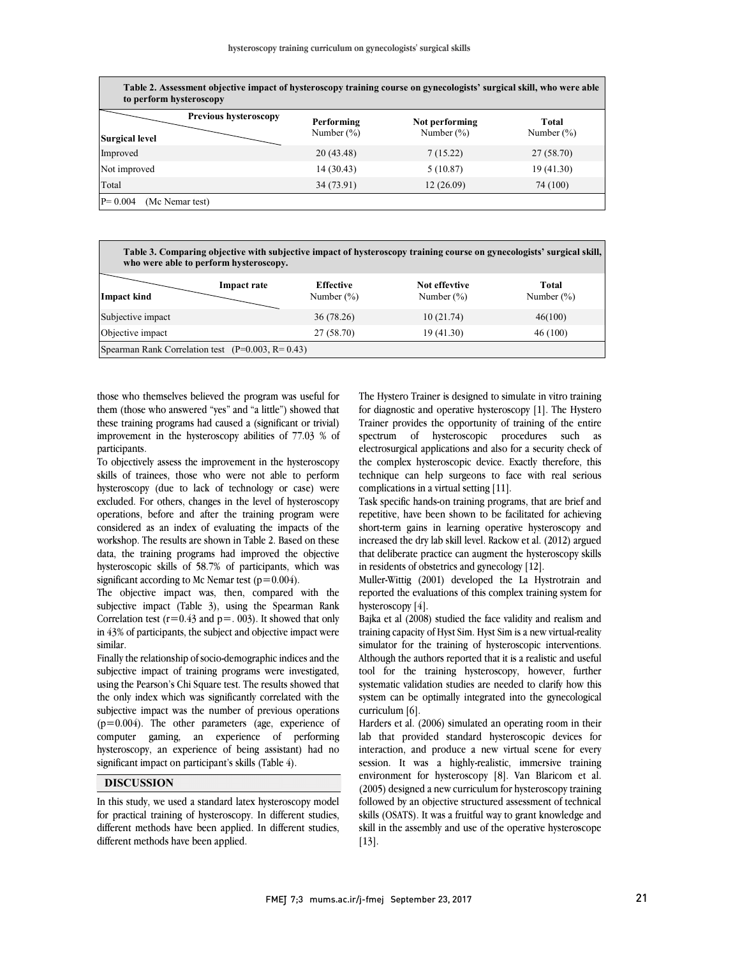$\overline{\phantom{a}}$ 

| Table 2. Assessment objective impact of hysteroscopy training course on gynecologists' surgical skill, who were able<br>to perform hysteroscopy |                             |                                  |                         |  |
|-------------------------------------------------------------------------------------------------------------------------------------------------|-----------------------------|----------------------------------|-------------------------|--|
| Previous hysteroscopy<br><b>Surgical level</b>                                                                                                  | Performing<br>Number $(\%)$ | Not performing<br>Number $(\% )$ | Total<br>Number $(\% )$ |  |
| Improved                                                                                                                                        | 20 (43.48)                  | 7(15.22)                         | 27 (58.70)              |  |
| Not improved                                                                                                                                    | 14 (30.43)                  | 5(10.87)                         | 19 (41.30)              |  |
| Total                                                                                                                                           | 34 (73.91)                  | 12(26.09)                        | 74 (100)                |  |
| $P = 0.004$<br>(Mc Nemar test)                                                                                                                  |                             |                                  |                         |  |

| Table 3. Comparing objective with subjective impact of hysteroscopy training course on gynecologists' surgical skill,<br>who were able to perform hysteroscopy. |                    |                                   |                                |                        |
|-----------------------------------------------------------------------------------------------------------------------------------------------------------------|--------------------|-----------------------------------|--------------------------------|------------------------|
| Impact kind                                                                                                                                                     | <b>Impact rate</b> | <b>Effective</b><br>Number $(\%)$ | Not effevtive<br>Number $(\%)$ | Total<br>Number $(\%)$ |
| Subjective impact                                                                                                                                               |                    | 36 (78.26)                        | 10(21.74)                      | 46(100)                |
| Objective impact                                                                                                                                                |                    | 27 (58.70)                        | 19 (41.30)                     | 46 (100)               |
| Spearman Rank Correlation test ( $P=0.003$ , $R=0.43$ )                                                                                                         |                    |                                   |                                |                        |

those who themselves believed the program was useful for them (those who answered "yes" and "a little") showed that these training programs had caused a (significant or trivial) improvement in the hysteroscopy abilities of 77.03 % of participants.

To objectively assess the improvement in the hysteroscopy skills of trainees, those who were not able to perform hysteroscopy (due to lack of technology or case) were excluded. For others, changes in the level of hysteroscopy operations, before and after the training program were considered as an index of evaluating the impacts of the workshop. The results are shown in Table 2. Based on these data, the training programs had improved the objective hysteroscopic skills of 58.7% of participants, which was significant according to Mc Nemar test ( $p=0.004$ ).

The objective impact was, then, compared with the subjective impact (Table 3), using the Spearman Rank Correlation test ( $r=0.43$  and  $p=.003$ ). It showed that only in 43% of participants, the subject and objective impact were similar.

Finally the relationship of socio-demographic indices and the subjective impact of training programs were investigated, using the Pearson's Chi Square test. The results showed that the only index which was significantly correlated with the subjective impact was the number of previous operations  $(p=0.004)$ . The other parameters (age, experience of computer gaming, an experience of performing hysteroscopy, an experience of being assistant) had no significant impact on participant's skills (Table 4).

## **DISCUSSION**

In this study, we used a standard latex hysteroscopy model for practical training of hysteroscopy. In different studies, different methods have been applied. In different studies, different methods have been applied.

 The Hystero Trainer is designed to simulate in vitro training for diagnostic and operative hysteroscopy [1]. The Hystero spectrum of hysteroscopic procedures such as electrosurgical applications and also for a security check of the complex hysteroscopic device. Exactly therefore, this complications in a virtual setting [11]. Trainer provides the opportunity of training of the entire technique can help surgeons to face with real serious

 Task specific hands-on training programs, that are brief and repetitive, have been shown to be facilitated for achieving short-term gains in learning operative hysteroscopy and that deliberate practice can augment the hysteroscopy skills in residents of obstetrics and gynecology [12]. increased the dry lab skill level. Rackow et al. (2012) argued

 Muller-Wittig (2001) developed the La Hystrotrain and reported the evaluations of this complex training system for hysteroscopy [4].

 Bajka et al (2008) studied the face validity and realism and training capacity of Hyst Sim. Hyst Sim is a new virtual-reality simulator for the training of hysteroscopic interventions. Although the authors reported that it is a realistic and useful tool for the training hysteroscopy, however, further system can be optimally integrated into the gynecological curriculum [6]. systematic validation studies are needed to clarify how this

 Harders et al. (2006) simulated an operating room in their interaction, and produce a new virtual scene for every session. It was a highly-realistic, immersive training environment for hysteroscopy [8]. Van Blaricom et al. lab that provided standard hysteroscopic devices for (2005) designed a new curriculum for hysteroscopy training followed by an objective structured assessment of technical skills (OSATS). It was a fruitful way to grant knowledge and skill in the assembly and use of the operative hysteroscope [13].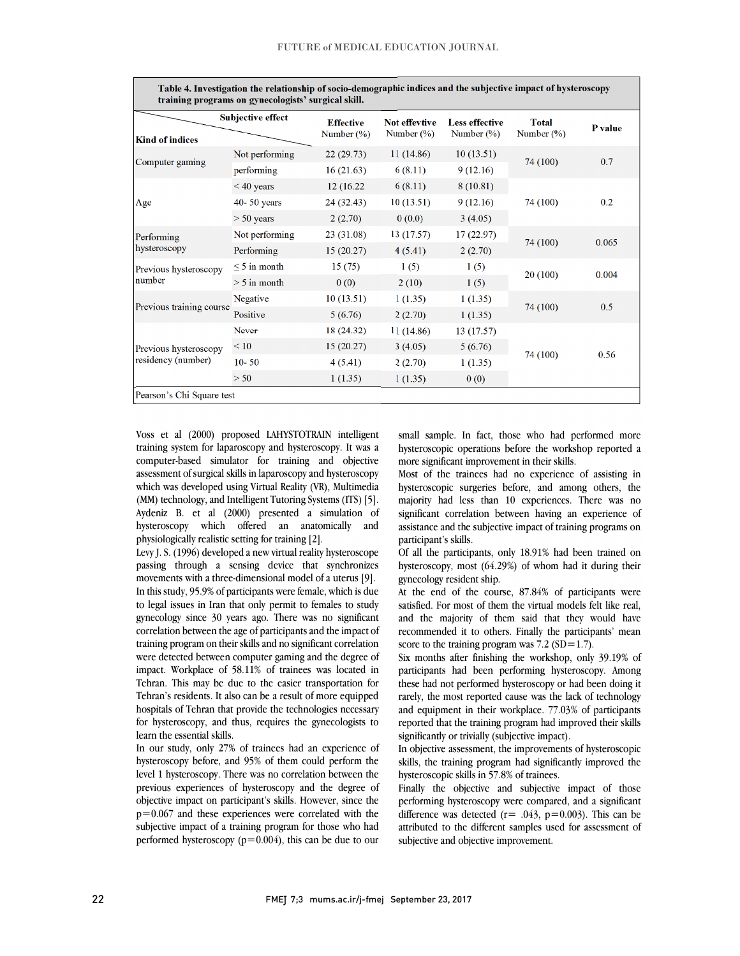| training programs on gynecologists' surgical skill. |                          |                                   |                                |                                        |                               |         |
|-----------------------------------------------------|--------------------------|-----------------------------------|--------------------------------|----------------------------------------|-------------------------------|---------|
| <b>Kind of indices</b>                              | <b>Subjective effect</b> | <b>Effective</b><br>Number $(\%)$ | Not effevtive<br>Number $(\%)$ | <b>Less effective</b><br>Number $(\%)$ | <b>Total</b><br>Number $(\%)$ | P value |
| Computer gaming                                     | Not performing           | 22(29.73)                         | 11(14.86)                      | 10(13.51)                              | 74 (100)                      | 0.7     |
|                                                     | performing               | 16(21.63)                         | 6(8.11)                        | 9(12.16)                               |                               |         |
| Age                                                 | $< 40$ years             | 12 (16.22)                        | 6(8.11)                        | 8(10.81)                               | 74 (100)                      | 0.2     |
|                                                     | $40 - 50$ years          | 24 (32.43)                        | 10(13.51)                      | 9(12.16)                               |                               |         |
|                                                     | $> 50$ years             | 2(2.70)                           | 0(0.0)                         | 3(4.05)                                |                               |         |
| Performing<br>hysteroscopy                          | Not performing           | 23 (31.08)                        | 13 (17.57)                     | 17(22.97)                              | 74 (100)                      | 0.065   |
|                                                     | Performing               | 15(20.27)                         | 4(5.41)                        | 2(2.70)                                |                               |         |
| Previous hysteroscopy<br>number                     | $\leq$ 5 in month        | 15(75)                            | 1(5)                           | 1(5)                                   | 20(100)                       | 0.004   |
|                                                     | $> 5$ in month           | 0(0)                              | 2(10)                          | 1(5)                                   |                               |         |
| Previous training course                            | Negative                 | 10(13.51)                         | 1(1.35)                        | 1(1.35)                                | 74 (100)                      | 0.5     |
|                                                     | Positive                 | 5(6.76)                           | 2(2.70)                        | 1(1.35)                                |                               |         |
| Previous hysteroscopy<br>residency (number)         | Never                    | 18 (24.32)                        | 11 (14.86)                     | 13(17.57)                              |                               |         |
|                                                     | < 10                     | 15(20.27)                         | 3(4.05)                        | 5(6.76)                                | 74 (100)                      |         |
|                                                     | $10 - 50$                | 4(5.41)                           | 2(2.70)                        | 1(1.35)                                |                               | 0.56    |
|                                                     | > 50                     | 1(1.35)                           | 1(1.35)                        | 0(0)                                   |                               |         |

**Table 4. Investigation the relationship of socio-demographic indices and the subjective impact of hysteroscopy** 

Voss et al (2000) proposed LAHYSTOTRAIN intelligent training system for laparoscopy and hysteroscopy. It was a computer-based simulator for training and objective assessment of surgical skills in laparoscopy and hysteroscopy which was developed using Virtual Reality (VR), Multimedia (MM) technology, and Intelligent Tutoring Systems (ITS) [5]. Aydeniz B. et al (2000) presented a simulation of hysteroscopy which offered an anatomically and physiologically realistic setting for training [2].

Levy J. S. (1996) developed a new virtual reality hysteroscope passing through a sensing device that synchronizes movements with a three-dimensional model of a uterus [9]. In this study, 95.9% of participants were female, which is due to legal issues in Iran that only permit to females to study gynecology since 30 years ago. There was no significant correlation between the age of participants and the impact of training program on their skills and no significant correlation were detected between computer gaming and the degree of impact. Workplace of 58.11% of trainees was located in Tehran. This may be due to the easier transportation for Tehran's residents. It also can be a result of more equipped hospitals of Tehran that provide the technologies necessary for hysteroscopy, and thus, requires the gynecologists to learn the essential skills.

In our study, only 27% of trainees had an experience of hysteroscopy before, and 95% of them could perform the level 1 hysteroscopy. There was no correlation between the previous experiences of hysteroscopy and the degree of objective impact on participant's skills. However, since the  $p=0.067$  and these experiences were correlated with the subjective impact of a training program for those who had performed hysteroscopy  $(p=0.004)$ , this can be due to our

small sample. In fact, those who had performed more hysteroscopic operations before the workshop reported a more significant improvement in their skills.

Most of the trainees had no experience of assisting in hysteroscopic surgeries before, and among others, the majority had less than 10 experiences. There was no significant correlation between having an experience of assistance and the subjective impact of training programs on participant's skills.

Of all the participants, only 18.91% had been trained on hysteroscopy, most (64.29%) of whom had it during their gynecology resident ship.

At the end of the course, 87.84% of participants were satisfied. For most of them the virtual models felt like real, and the majority of them said that they would have recommended it to others. Finally the participants' mean score to the training program was  $7.2$  (SD=1.7).

Six months after finishing the workshop, only 39.19% of participants had been performing hysteroscopy. Among these had not performed hysteroscopy or had been doing it rarely, the most reported cause was the lack of technology and equipment in their workplace. 77.03% of participants reported that the training program had improved their skills significantly or trivially (subjective impact).

In objective assessment, the improvements of hysteroscopic skills, the training program had significantly improved the hysteroscopic skills in 57.8% of trainees.

Finally the objective and subjective impact of those performing hysteroscopy were compared, and a significant difference was detected ( $r = .043$ ,  $p = 0.003$ ). This can be attributed to the different samples used for assessment of subjective and objective improvement.